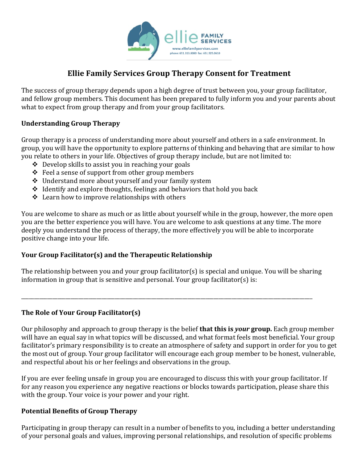

# **Ellie Family Services Group Therapy Consent for Treatment**

The success of group therapy depends upon a high degree of trust between you, your group facilitator, and fellow group members. This document has been prepared to fully inform you and your parents about what to expect from group therapy and from your group facilitators.

#### **Understanding Group Therapy**

Group therapy is a process of understanding more about yourself and others in a safe environment. In group, you will have the opportunity to explore patterns of thinking and behaving that are similar to how you relate to others in your life. Objectives of group therapy include, but are not limited to:

- $\div$  Develop skills to assist you in reaching your goals
- $\div$  Feel a sense of support from other group members
- $\div$  Understand more about yourself and your family system
- $\triangleleft$  Identify and explore thoughts, feelings and behaviors that hold you back
- $\triangle$  Learn how to improve relationships with others

You are welcome to share as much or as little about yourself while in the group, however, the more open you are the better experience you will have. You are welcome to ask questions at any time. The more deeply you understand the process of therapy, the more effectively you will be able to incorporate positive change into your life.

#### **Your Group Facilitator(s) and the Therapeutic Relationship**

The relationship between you and your group facilitator(s) is special and unique. You will be sharing information in group that is sensitive and personal. Your group facilitator(s) is:

\_\_\_\_\_\_\_\_\_\_\_\_\_\_\_\_\_\_\_\_\_\_\_\_\_\_\_\_\_\_\_\_\_\_\_\_\_\_\_\_\_\_\_\_\_\_\_\_\_\_\_\_\_\_\_\_\_\_\_\_\_\_\_\_\_\_\_\_\_\_\_\_\_\_\_\_\_\_\_\_\_\_\_\_\_\_\_\_\_\_\_\_\_\_\_\_\_\_\_\_\_\_\_\_\_\_\_\_\_\_\_\_

#### **The Role of Your Group Facilitator(s)**

Our philosophy and approach to group therapy is the belief **that this is** *your* **group**. Each group member will have an equal say in what topics will be discussed, and what format feels most beneficial. Your group facilitator's primary responsibility is to create an atmosphere of safety and support in order for you to get the most out of group. Your group facilitator will encourage each group member to be honest, vulnerable, and respectful about his or her feelings and observations in the group.

If you are ever feeling unsafe in group you are encouraged to discuss this with your group facilitator. If for any reason you experience any negative reactions or blocks towards participation, please share this with the group. Your voice is your power and your right.

#### **Potential Benefits of Group Therapy**

Participating in group therapy can result in a number of benefits to you, including a better understanding of your personal goals and values, improving personal relationships, and resolution of specific problems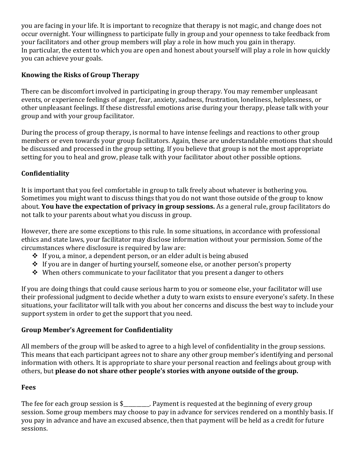you are facing in your life. It is important to recognize that therapy is not magic, and change does not occur overnight. Your willingness to participate fully in group and your openness to take feedback from your facilitators and other group members will play a role in how much you gain in therapy. In particular, the extent to which you are open and honest about yourself will play a role in how quickly you can achieve your goals.

# **Knowing the Risks of Group Therapy**

There can be discomfort involved in participating in group therapy. You may remember unpleasant events, or experience feelings of anger, fear, anxiety, sadness, frustration, loneliness, helplessness, or other unpleasant feelings. If these distressful emotions arise during your therapy, please talk with your group and with your group facilitator.

During the process of group therapy, is normal to have intense feelings and reactions to other group members or even towards your group facilitators. Again, these are understandable emotions that should be discussed and processed in the group setting. If you believe that group is not the most appropriate setting for you to heal and grow, please talk with your facilitator about other possible options.

## **Confidentiality**

It is important that you feel comfortable in group to talk freely about whatever is bothering you. Sometimes you might want to discuss things that you do not want those outside of the group to know about. **You have the expectation of privacy in group sessions.** As a general rule, group facilitators do not talk to your parents about what you discuss in group.

However, there are some exceptions to this rule. In some situations, in accordance with professional ethics and state laws, your facilitator may disclose information without your permission. Some of the circumstances where disclosure is required by law are:

- $\cdot$  If you, a minor, a dependent person, or an elder adult is being abused
- $\cdot$  If you are in danger of hurting yourself, someone else, or another person's property
- $\cdot$  When others communicate to your facilitator that you present a danger to others

If you are doing things that could cause serious harm to you or someone else, your facilitator will use their professional judgment to decide whether a duty to warn exists to ensure everyone's safety. In these situations, your facilitator will talk with you about her concerns and discuss the best way to include your support system in order to get the support that you need.

#### **Group Member's Agreement for Confidentiality**

All members of the group will be asked to agree to a high level of confidentiality in the group sessions. This means that each participant agrees not to share any other group member's identifying and personal information with others. It is appropriate to share your personal reaction and feelings about group with others, but please do not share other people's stories with anyone outside of the group.

#### **Fees**

The fee for each group session is  $\frac{1}{2}$ . Payment is requested at the beginning of every group session. Some group members may choose to pay in advance for services rendered on a monthly basis. If you pay in advance and have an excused absence, then that payment will be held as a credit for future sessions.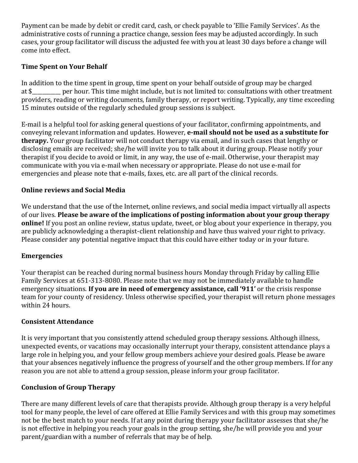Payment can be made by debit or credit card, cash, or check payable to 'Ellie Family Services'. As the administrative costs of running a practice change, session fees may be adjusted accordingly. In such cases, your group facilitator will discuss the adjusted fee with you at least 30 days before a change will come into effect.

## **Time Spent on Your Behalf**

In addition to the time spent in group, time spent on your behalf outside of group may be charged at \$ per hour. This time might include, but is not limited to: consultations with other treatment providers, reading or writing documents, family therapy, or report writing. Typically, any time exceeding 15 minutes outside of the regularly scheduled group sessions is subject.

E-mail is a helpful tool for asking general questions of your facilitator, confirming appointments, and conveying relevant information and updates. However, **e-mail should not be used as a substitute for therapy.** Your group facilitator will not conduct therapy via email, and in such cases that lengthy or disclosing emails are received; she/he will invite you to talk about it during group. Please notify your therapist if you decide to avoid or limit, in any way, the use of e-mail. Otherwise, your therapist may communicate with you via e-mail when necessary or appropriate. Please do not use e-mail for emergencies and please note that e-mails, faxes, etc. are all part of the clinical records.

### **Online reviews and Social Media**

We understand that the use of the Internet, online reviews, and social media impact virtually all aspects of our lives. Please be aware of the implications of posting information about your group therapy **online!** If you post an online review, status update, tweet, or blog about your experience in therapy, you are publicly acknowledging a therapist-client relationship and have thus waived your right to privacy. Please consider any potential negative impact that this could have either today or in your future.

#### **Emergencies**

Your therapist can be reached during normal business hours Monday through Friday by calling Ellie Family Services at 651-313-8080. Please note that we may not be immediately available to handle emergency situations. If you are in need of emergency assistance, call '911' or the crisis response team for your county of residency. Unless otherwise specified, your therapist will return phone messages within 24 hours.

#### **Consistent Attendance**

It is very important that you consistently attend scheduled group therapy sessions. Although illness, unexpected events, or vacations may occasionally interrupt your therapy, consistent attendance plays a large role in helping you, and your fellow group members achieve your desired goals. Please be aware that your absences negatively influence the progress of yourself and the other group members. If for any reason you are not able to attend a group session, please inform your group facilitator.

## **Conclusion of Group Therapy**

There are many different levels of care that therapists provide. Although group therapy is a very helpful tool for many people, the level of care offered at Ellie Family Services and with this group may sometimes not be the best match to your needs. If at any point during therapy your facilitator assesses that she/he is not effective in helping you reach your goals in the group setting, she/he will provide you and your parent/guardian with a number of referrals that may be of help.